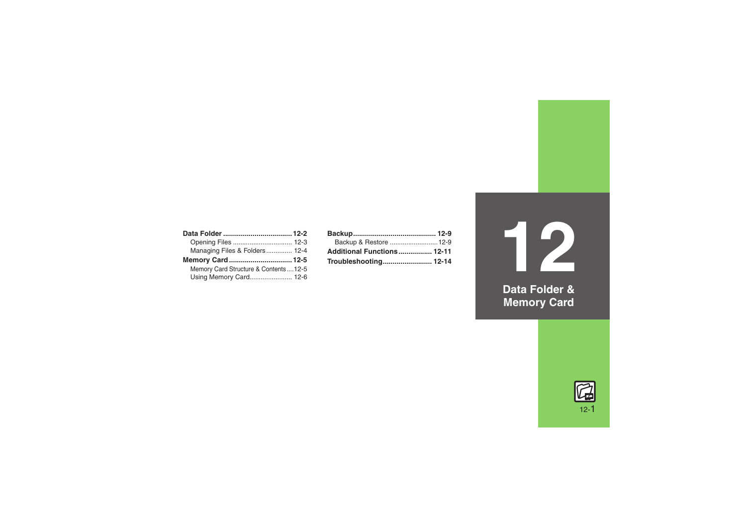| Managing Files & Folders 12-4        |
|--------------------------------------|
|                                      |
|                                      |
| Memory Card Structure & Contents12-5 |
|                                      |

| Backup & Restore  12-9     |  |
|----------------------------|--|
| Additional Functions 12-11 |  |
| Troubleshooting 12-14      |  |

**12Data Folder &** 

**Memory Card**

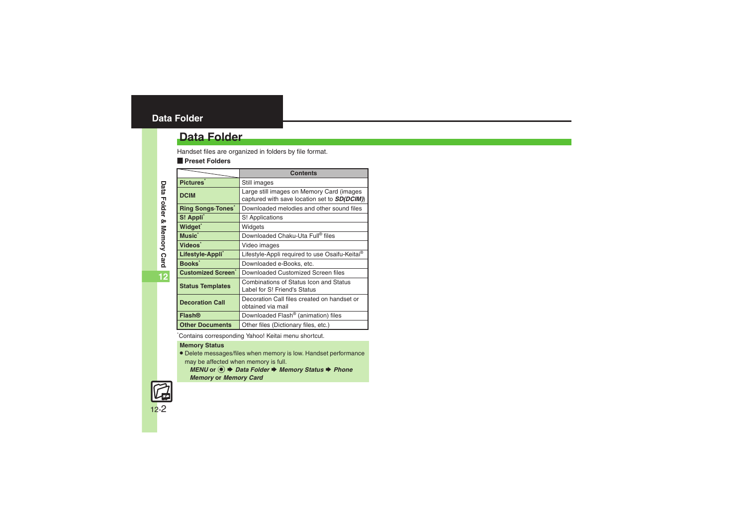# <span id="page-1-0"></span>**Data Folder**

Handset files are organized in folders by file format.

#### [ **Preset Folders**

|                              | <b>Contents</b>                                                                                   |
|------------------------------|---------------------------------------------------------------------------------------------------|
| Pictures <sup>*</sup>        | Still images                                                                                      |
| <b>DCIM</b>                  | Large still images on Memory Card (images<br>captured with save location set to <b>SD(DCIM)</b> ) |
| <b>Ring Songs Tones</b>      | Downloaded melodies and other sound files                                                         |
| S! Appli                     | S! Applications                                                                                   |
| Widget <sup>*</sup>          | Widgets                                                                                           |
| Music <sup>*</sup>           | Downloaded Chaku-Uta Full <sup>®</sup> files                                                      |
| Videos <sup>*</sup>          | Video images                                                                                      |
| Lifestyle-Appli <sup>*</sup> | Lifestyle-Appli required to use Osaifu-Keitai®                                                    |
| Books <sup>'</sup>           | Downloaded e-Books, etc.                                                                          |
| <b>Customized Screen</b> *   | Downloaded Customized Screen files                                                                |
| <b>Status Templates</b>      | Combinations of Status Icon and Status<br>Label for S! Friend's Status                            |
| <b>Decoration Call</b>       | Decoration Call files created on handset or<br>obtained via mail                                  |
| <b>Flash®</b>                | Downloaded Flash <sup>®</sup> (animation) files                                                   |
| <b>Other Documents</b>       | Other files (Dictionary files, etc.)                                                              |

\*Contains corresponding Yahoo! Keitai menu shortcut.

# **Memory Status**

. Delete messages/files when memory is low. Handset performance may be affected when memory is full.

*MENU* or ●  $\rightarrow$  *Data Folder*  $\rightarrow$  *Memory Status*  $\rightarrow$  *Phone Memory* **or** *Memory Card*

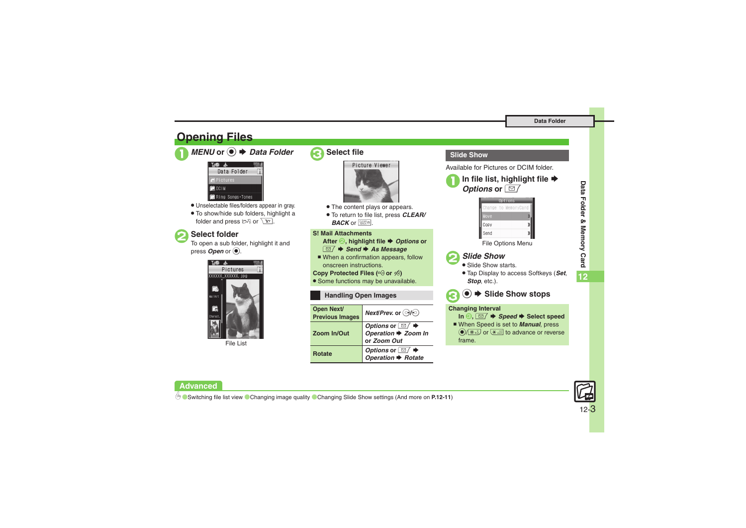# <span id="page-2-0"></span>**Opening Files**



 $\blacksquare$  DC IM Ring Songs Tones

- . Unselectable files/folders appear in gray.
- . To show/hide sub folders, highlight a folder and press  $\mathbb{D} \mathbb{R}$  or  $\boxed{\mathbf{Y}}$ .

**Select folder**<br>To open a sub folder, highlight it and press *Open* or  $\odot$ .



File List

**Advanced**





- . The content plays or appears.
- . To return to file list, press *CLEAR/*  $\mathsf{BACK}$  or  $\mathbb{R}\mathbb{R}$
- **S! Mail Attachments**
	- **After <sup>○</sup>, highlight file**  $\rightarrow$ *Options* **or**
	- $\boxed{\text{ } \cong \text{ } }$  **→ Send → As Message**
	- When a confirmation appears, follow onscreen instructions.

### **Copy Protected Files (** $\textcircled{0}$  **or**  $\textcircled{4}$ **)**

. Some functions may be unavailable.

#### **Handling Open Images Open Next/ Previous Images** *Next* Prev. or  $\odot$ / $\odot$ **Zoom In/Out***Options* or **⊠A** *Operation* ♦ *Zoom In* **or** *Zoom Out***Rotate***Options* or **■/** ◆<br>*Operation* ◆ *Rotate*

# **Slide Show**

Available for Pictures or DCIM folder.





File Options Menu



# 2*Slide Show* .

- Slide Show starts.
- . Tap Display to access Softkeys (*Set*, *Stop*, etc.).

 $\rightarrow$  **Slide Show stops** 

# **Changing Interval**

- $\ln \Theta$ ,  $\boxed{\cong}$   $\blacktriangleright$  *Speed*  $\blacktriangleright$  Select speed
- When Speed is set to *Manual*, press  $\left( \bullet \right)$   $\left( \leftarrow \right)$  or  $\left( \leftarrow \right)$  to advance or reverse frame.

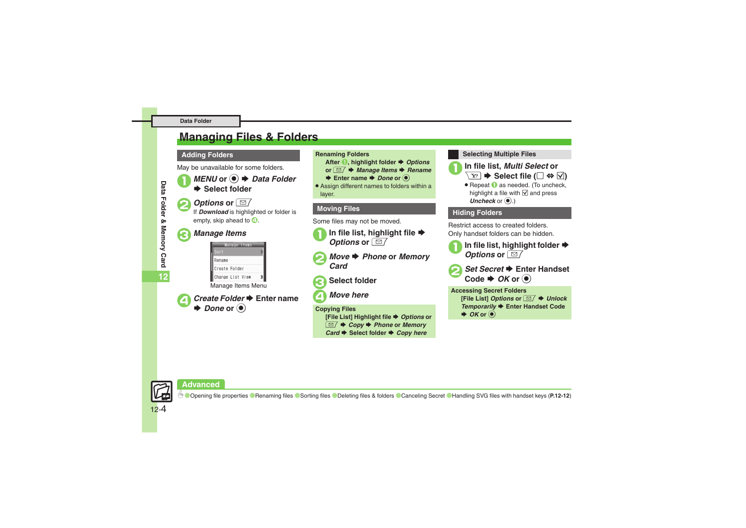# <span id="page-3-0"></span>**Managing Files & Folders**

May be unavailable for some folders.

*MENU* or ● *Data Folder*<br>◆ Select folder

**Options or B**<br>If **Download** is highlighted or folder is empty, skip ahead to  $\mathbf{\Theta}$ .



# 3*Manage Items*





## **Adding Folders <b>Renaming Folders Renaming Folders**

- **After ●, highlight folder ♦ Options**
- **or**  $\textcolor{red}{\boxtimes}$  $\blacklozenge$ *Manage Items* $\blacktriangleright$ *Rename*
- $\blacktriangleright$  Enter name  $\blacktriangleright$  *Done* or  $\textcircled{\small{\bullet}}$
- . Assign different names to folders within a layer.

# **Moving Files**

Some files may not be moved.

- - In file list, highlight file  $\blacktriangleright$  *Options* or  $\boxed{\cong}$  /
	- *Move* ♦ *Phone* or *Memory Card*
	- 3**Select folder**





**Copying Files [File List] Highlight file ♦ Options or**  $\boxed{\textcircled{}}$  $\blacktriangleright$ *Copy* $\blacktriangleright$ *Phone* **or** *Memory* **Card → Select folder → Copy here** 

### **Selecting Multiple Files**



**<u>In file list,** *Multi Select* or  $\overline{\setminus x_2}$   $\rightarrow$  Select file ( $\Box \Leftrightarrow \overline{\lozenge}$ )</u>

**• Repeat 1 as needed. (To uncheck,** highlight a file with  $\nabla$  and press *Uncheck* or  $\odot$ .)

# **Hiding Folders**

Restrict access to created folders.Only handset folders can be hidden.

In file list, highlight folder  $\blacktriangleright$  *Options* or  $\boxed{\cong}$ 



*Set Secret* **→ Enter Handset**  $Code$   $\rightarrow$   $OK$  or  $\odot$ 

**Accessing Secret Folders [File List] Options or**  $\boxed{\text{ }}$  $\rightarrow$  **Unlock Temporarily ♦ Enter Handset Code**  $\rightarrow$  OK or  $\odot$ 



Data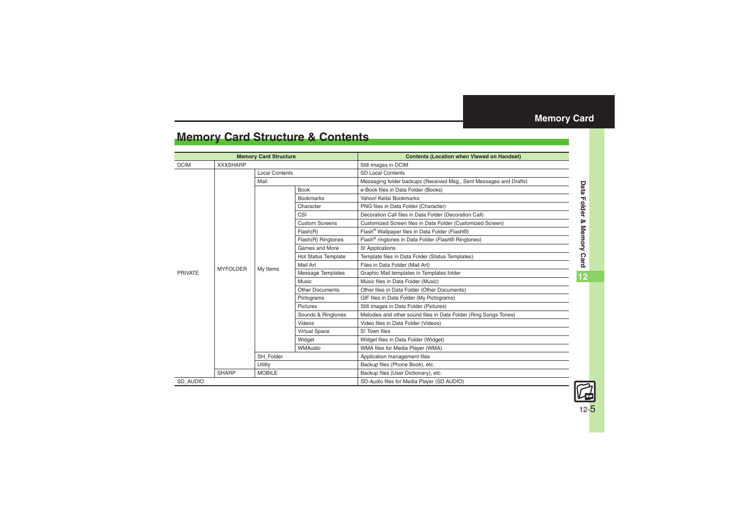# <span id="page-4-1"></span>**Memory Card Structure & Contents**

| <b>Memory Card Structure</b> |                 |                       | <b>Contents (Location when Viewed on Handset)</b> |                                                                    |                                 |
|------------------------------|-----------------|-----------------------|---------------------------------------------------|--------------------------------------------------------------------|---------------------------------|
| <b>DCIM</b>                  | <b>XXXSHARP</b> |                       |                                                   | Still images in DCIM                                               |                                 |
|                              |                 | <b>Local Contents</b> |                                                   | <b>SD Local Contents</b>                                           |                                 |
|                              |                 | Mail                  |                                                   | Messaging folder backups (Received Msg., Sent Messages and Drafts) |                                 |
|                              |                 |                       | <b>Book</b>                                       | e-Book files in Data Folder (Books)                                |                                 |
|                              |                 |                       | <b>Bookmarks</b>                                  | Yahoo! Keitai Bookmarks                                            |                                 |
|                              |                 |                       | Character                                         | PNG files in Data Folder (Character)                               |                                 |
|                              |                 |                       | CSI                                               | Decoration Call files in Data Folder (Decoration Call)             |                                 |
|                              |                 |                       | <b>Custom Screens</b>                             | Customized Screen files in Data Folder (Customized Screen)         |                                 |
|                              |                 |                       | Flash(R)                                          | Flash <sup>®</sup> Wallpaper files in Data Folder (Flash®)         |                                 |
|                              |                 |                       | Flash(R) Ringtones                                | Flash <sup>®</sup> ringtones in Data Folder (Flash® Ringtones)     |                                 |
|                              |                 |                       | Games and More                                    | S! Applications                                                    |                                 |
|                              |                 |                       | Hot Status Template                               | Template files in Data Folder (Status Templates)                   |                                 |
|                              |                 | <b>MYFOLDER</b>       |                                                   | Mail Art                                                           | Files in Data Folder (Mail Art) |
| <b>PRIVATE</b>               |                 | My Items              | Message Templates                                 | Graphic Mail templates in Templates folder                         |                                 |
|                              |                 |                       | Music                                             | Music files in Data Folder (Music)                                 |                                 |
|                              |                 |                       | Other Documents                                   | Other files in Data Folder (Other Documents)                       |                                 |
|                              |                 |                       | Pictograms                                        | GIF files in Data Folder (My Pictograms)                           |                                 |
|                              |                 |                       | <b>Pictures</b>                                   | Still images in Data Folder (Pictures)                             |                                 |
|                              |                 |                       | Sounds & Ringtones                                | Melodies and other sound files in Data Folder (Ring Songs-Tones)   |                                 |
|                              |                 |                       | Videos                                            | Video files in Data Folder (Videos)                                |                                 |
|                              |                 |                       | <b>Virtual Space</b>                              | S! Town files                                                      |                                 |
|                              |                 |                       | Widget                                            | Widget files in Data Folder (Widget)                               |                                 |
|                              |                 |                       | <b>WMAudio</b>                                    | WMA files for Media Plaver (WMA)                                   |                                 |
|                              |                 | SH Folder             |                                                   | Application management files                                       |                                 |
|                              |                 | Utility               |                                                   | Backup files (Phone Book), etc.                                    |                                 |
|                              | <b>SHARP</b>    | <b>MOBILE</b>         |                                                   | Backup files (User Dictionary), etc.                               |                                 |
| SD AUDIO                     |                 |                       |                                                   | SD-Audio files for Media Player (SD AUDIO)                         |                                 |

<span id="page-4-0"></span>**12**

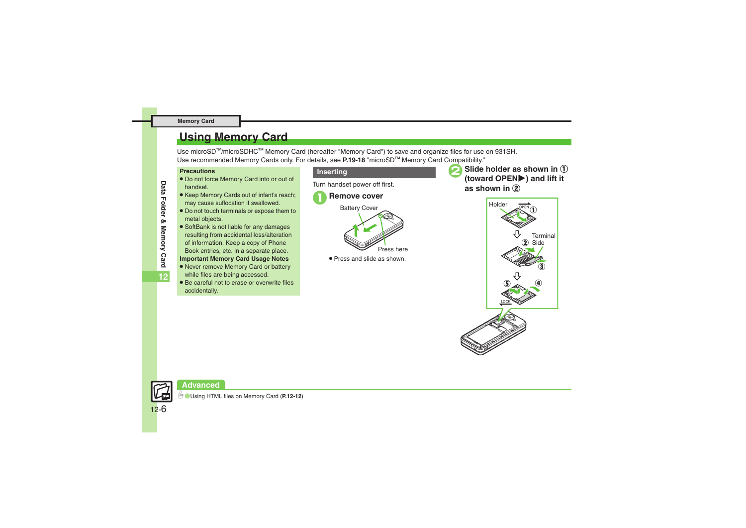# <span id="page-5-0"></span>**Using Memory Card**

Use microSD<sup>™/</sup>microSDHC<sup>™</sup> Memory Card (hereafter "Memory Card") to save and organize files for use on 931SH. Use recommended Memory Cards only. For details, see P.19-18 "microSD™ Memory Card Compatibility."

### **Precautions**

- . Do not force Memory Card into or out of handset.
- . Keep Memory Cards out of infant's reach; may cause suffocation if swallowed.
- . Do not touch terminals or expose them to metal objects.
- **•** SoftBank is not liable for any damages resulting from accidental loss/alteration of information. Keep a copy of Phone Book entries, etc. in a separate place.
- **Important Memory Card Usage Notes**
- . Never remove Memory Card or battery while files are being accessed.
- . Be careful not to erase or overwrite files accidentally.

# **Inserting**

Turn handset power off first.



. Press and slide as shown.

**Slide holder as shown in ①** (toward OPEN▶) and lift it **as shown in** ②



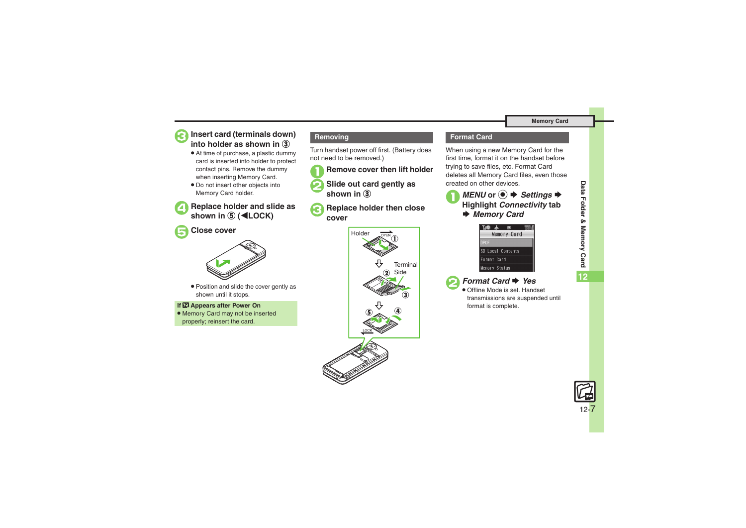

# 3**Insert card (terminals down) into holder as shown in** <sup>③</sup>

- . At time of purchase, a plastic dummy card is inserted into holder to protect contact pins. Remove the dummy when inserting Memory Card.
- . Do not insert other objects into Memory Card holder.

**Replace holder and slide as shown in ⑤ (◀LOCK)** 



# 5**Close cover**



. Position and slide the cover gently as shown until it stops.

. Memory Card may not be inserted properly; reinsert the card.



Turn handset power off first. (Battery does not need to be removed.)

- 1**Remove cover then lift holder**
	- **Slide out card gently as shown in**  $\Omega$
- 3**Replace holder then close cover**



## **Format Card**

When using a new Memory Card for the first time, format it on the handset before trying to save files, etc. Format Card deletes all Memory Card files, even those created on other devices.

*MENU* or ●  $\rightarrow$  *Settings*  $\rightarrow$  **Highlight** *Connectivity* tab **◆ Memory Card** 



*Format Card* → *Yes* 

 Offline Mode is set. Handset transmissions are suspended until

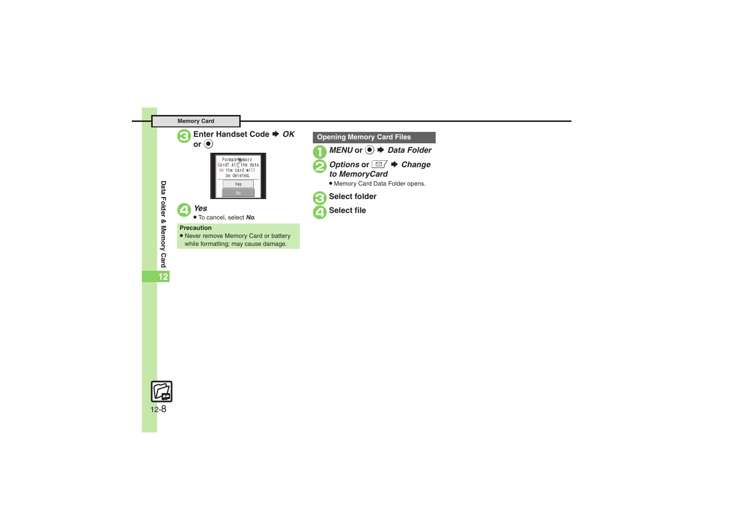## **Memory Card**



#### **Precaution**

 . Never remove Memory Card or battery while formatting; may cause damage.



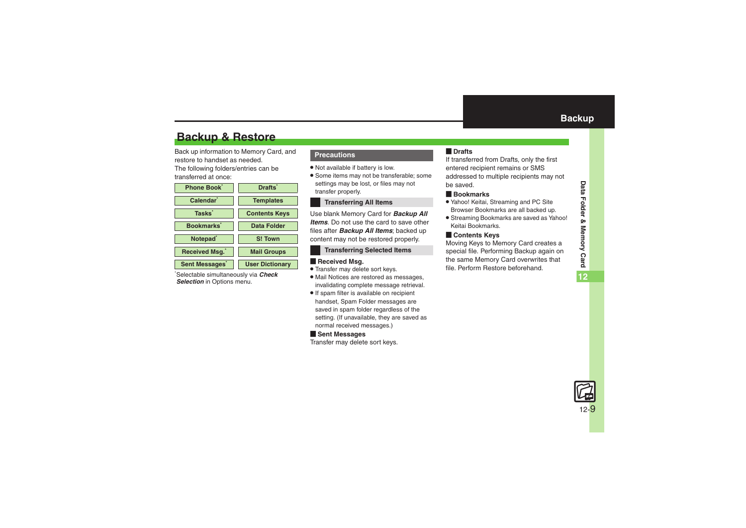# <span id="page-8-1"></span>**Backup & Restore**

Back up information to Memory Card, and restore to handset as needed.The following folders/entries can be transferred at once:



Selectable simultaneously via **Check** *Selection* in Options menu.

# **Precautions**

- . Not available if battery is low.
- . Some items may not be transferable; some settings may be lost, or files may not transfer properly.

# **Transferring All Items**

Use blank Memory Card for *Backup All Items*. Do not use the card to save other files after *Backup All Items*; backed up content may not be restored properly.

# **Transferring Selected Items**

# **Received Msg.**

- . Transfer may delete sort keys.
- . Mail Notices are restored as messages, invalidating complete message retrieval.
- . If spam filter is available on recipient handset, Spam Folder messages are saved in spam folder regardless of the setting. (If unavailable, they are saved as normal received messages.)

# [ **Sent Messages**

Transfer may delete sort keys.

# <span id="page-8-0"></span>[ **Drafts**

If transferred from Drafts, only the first entered recipient remains or SMS addressed to multiple recipients may not be saved.

# [ **Bookmarks**

- . Yahoo! Keitai, Streaming and PC Site Browser Bookmarks are all backed up.
- . Streaming Bookmarks are saved as Yahoo! Keitai Bookmarks.

# [ **Contents Keys**

Moving Keys to Memory Card creates a special file. Performing Backup again on the same Memory Card overwrites that file. Perform Restore beforehand.

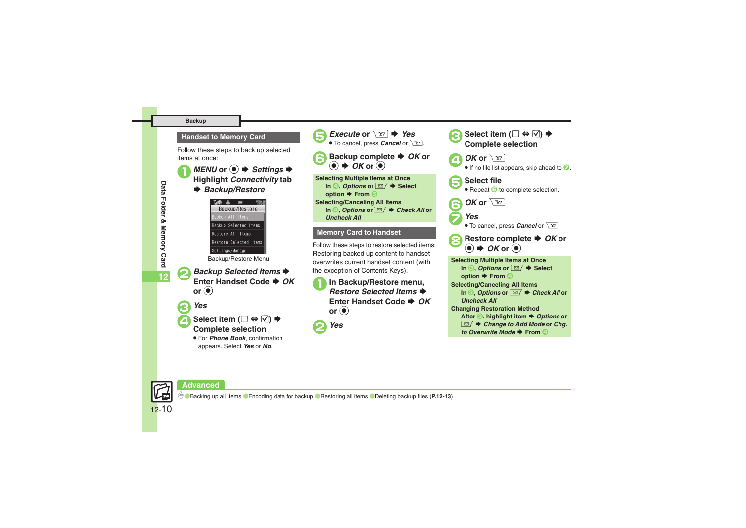#### **Backup**

## **Handset to Memory Card**

Follow these steps to back up selected items at once:

*MENU* or ●  $\rightarrow$  *Settings*  $\rightarrow$  **Highlight** *Connectivity* tab **▶ Backup/Restore** 



Backup/Restore Menu

**Backup Selected Items ♦ Enter Handset Code → OK** or  $\left( \bullet \right)$ 

3*Yes*



**Select item (** $\Box \Leftrightarrow \Box$ )  $\blacktriangleright$  **Complete selection** 

. For *Phone Book*, confirmation appears. Select *Yes* or *No*.



*Execute* or  $\boxed{Y}$   $\rightarrow$  *Yes*  $\bullet$  To cancel, press *Cancel* or  $\sqrt{\mathbf{x}}$ .

```
Backup complete \rightarrow OK or <br>● OK or ●
```
**Selecting Multiple Items at Once In** *A***,** *Options* or  $\boxed{\boxtimes 7}$   $\div$  Select **option ♦ From 5 Selecting/Canceling All Items In** *A***,** *Options* or  $\boxed{\otimes}$  *← Check All* or *Uncheck All*

# **Memory Card to Handset**

Follow these steps to restore selected items: Restoring backed up content to handset overwrites current handset content (with the exception of Contents Keys).

**In Backup/Restore menu, Restore Selected Items ♦ Enter Handset Code → OK**  $or (•)$ 





*to Overwrite Mode*  $\blacktriangleright$  From  $\odot$ 



# **Advanced**

**[Backing up all items](#page-12-0) C[Encoding data for backup](#page-12-1) C[Restoring all items](#page-12-2) C[Deleting backup files](#page-12-3) ([P.12-13](#page-12-0))** 

**Data Folder & Memory Card** Folder & Memory Card **12**

Data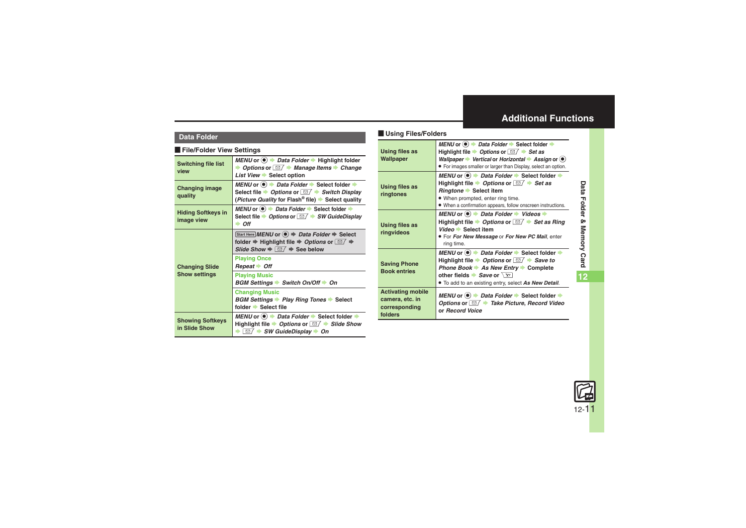# <span id="page-10-0"></span>**Additional Functions**

# Data Folder

#### [ **File/Folder View Settings**

<span id="page-10-3"></span><span id="page-10-2"></span><span id="page-10-1"></span>

| <b>Switching file list</b><br>view       | MENU or . Data Folder → Highlight folder<br>• Options or $\Box$ • Manage Items • Change<br>List View Select option                                                                                                                                       |
|------------------------------------------|----------------------------------------------------------------------------------------------------------------------------------------------------------------------------------------------------------------------------------------------------------|
| <b>Changing image</b><br>quality         | MENU or $\circledast$ $\Rightarrow$ Data Folder $\Rightarrow$ Select folder $\Rightarrow$<br>Select file $\rightarrow$ Options or $\boxed{\cong}$ $\rightarrow$ Switch Display<br>( <i>Picture Quality</i> for Flash <sup>®</sup> file) → Select quality |
| <b>Hiding Softkeys in</b><br>image view  | MENU or $\bullet$ $\bullet$ Data Folder $\bullet$ Select folder $\bullet$<br>Select file $\rightarrow$ Options or $\Box$ $\rightarrow$ SW GuideDisplay<br>$\rightarrow$ Off                                                                              |
|                                          | Start Here MENU or $\textcircled{\textcircled{\textcirc}} \Rightarrow$ Data Folder $\Rightarrow$ Select<br>folder $\Rightarrow$ Highlight file $\Rightarrow$ Options or $\Box$ $\Rightarrow$<br>Slide Show $\Rightarrow \Box / \Rightarrow$ See below    |
| <b>Changing Slide</b>                    | <b>Playing Once</b><br>$Repeat \rightarrow Off$                                                                                                                                                                                                          |
| <b>Show settings</b>                     | <b>Playing Music</b><br><b>BGM Settings → Switch On/Off → On</b>                                                                                                                                                                                         |
|                                          | <b>Changing Music</b><br><b>BGM Settings • Play Ring Tones • Select</b><br>folder Select file                                                                                                                                                            |
| <b>Showing Softkeys</b><br>in Slide Show | <i>MENU</i> or (●) $\rightarrow$ <i>Data Folder</i> $\rightarrow$ Select folder $\rightarrow$<br>Highlight file $\rightarrow$ Options or $\boxed{\cong}$ $\rightarrow$ Slide Show<br>$\bullet$ $\Box$ $\bullet$ SW GuideDisplay $\bullet$ On             |

# [ **Using Files/Folders Data Folder**

| Using files as<br>Wallpaper                                             | MENU or $\bullet$ $\bullet$ Data Folder $\bullet$ Select folder $\bullet$<br>Highlight file $\rightarrow$ Options or $\boxed{\simeq}$ $\rightarrow$ Set as<br>Wallpaper Vertical or Horizontal Assign or $\odot$<br>• For images smaller or larger than Display, select an option.                                                          |
|-------------------------------------------------------------------------|---------------------------------------------------------------------------------------------------------------------------------------------------------------------------------------------------------------------------------------------------------------------------------------------------------------------------------------------|
| <b>Using files as</b><br>ringtones                                      | MENU or $\bullet$ $\bullet$ Data Folder $\bullet$ Select folder $\bullet$<br>Highlight file $\rightarrow$ Options or $\boxed{\cong}$ $\rightarrow$ Set as<br><i>Ringtone</i> ▶ Select item<br>• When prompted, enter ring time.<br>• When a confirmation appears, follow onscreen instructions.                                             |
| <b>Using files as</b><br>ringvideos                                     | MENU or $\bullet$ $\rightarrow$ Data Folder $\rightarrow$ Videos $\rightarrow$<br>Highlight file $\rightarrow$ Options or $\boxed{\cong}$ $\rightarrow$ Set as Ring<br>Video Select item<br><b>.</b> For For New Message or For New PC Mail, enter<br>ring time.                                                                            |
| <b>Saving Phone</b><br><b>Book entries</b>                              | MENU or $\bullet$ > Data Folder → Select folder →<br>Highlight file $\rightarrow$ Options or $\boxed{\cong}$ $\rightarrow$ Save to<br>Phone Book $\blacktriangleright$ As New Entry $\blacktriangleright$ Complete<br>other fields $\blacktriangleright$ <i>Save</i> or $\boxed{Y}$<br>• To add to an existing entry, select As New Detail. |
| <b>Activating mobile</b><br>camera, etc. in<br>corresponding<br>folders | MENU or ( $\bullet$ ) → Data Folder → Select folder →<br>Options or $\Box / \Box$ Take Picture, Record Video<br>or Record Voice                                                                                                                                                                                                             |

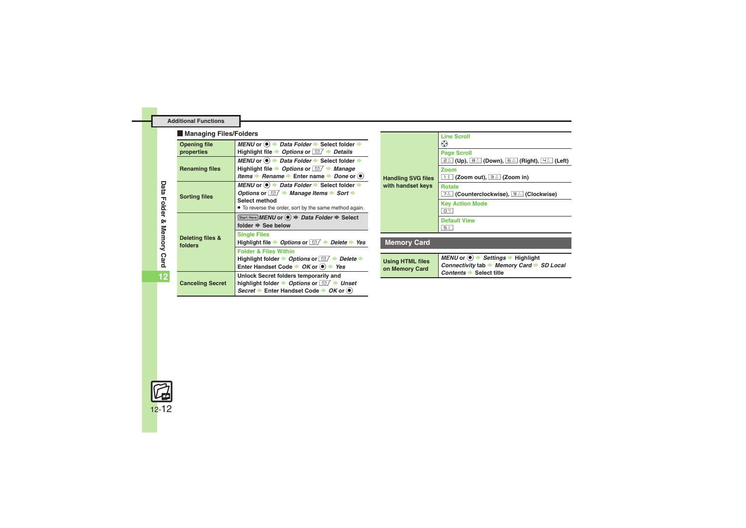#### <span id="page-11-6"></span><span id="page-11-5"></span>**Additional Functions**

<span id="page-11-3"></span><span id="page-11-2"></span><span id="page-11-1"></span><span id="page-11-0"></span>

| Data Folder<br>ჯ<br>Memory<br>Card<br>12 | <b>Managing Files/Folders</b>     |                                                                                                                                                                                                                                                               |                                                | <b>Line Scroll</b>                                                                                                                                                                               |
|------------------------------------------|-----------------------------------|---------------------------------------------------------------------------------------------------------------------------------------------------------------------------------------------------------------------------------------------------------------|------------------------------------------------|--------------------------------------------------------------------------------------------------------------------------------------------------------------------------------------------------|
|                                          | <b>Opening file</b><br>properties | MENU or $\odot$ $\rightarrow$ Data Folder $\rightarrow$ Select folder $\rightarrow$<br>Highlight file $\rightarrow$ Options or $\boxed{\,\simeq\,}$ $\rightarrow$ Details                                                                                     | <b>Handling SVG files</b><br>with handset keys | ⊛<br><b>Page Scroll</b>                                                                                                                                                                          |
|                                          | <b>Renaming files</b>             | MENU or $\bullet$ $\bullet$ Data Folder $\bullet$ Select folder $\bullet$<br>Highlight file $\rightarrow$ Options or $\boxed{\cong}$ $\rightarrow$ Manage<br>Items $\rightarrow$ Rename $\rightarrow$ Enter name $\rightarrow$ Done or $\left(\bullet\right)$ |                                                | Zoom<br>1: (Zoom out), $\exists$ $\exists$ (Zoom in)                                                                                                                                             |
|                                          | <b>Sorting files</b>              | MENU or $\bullet$ $\bullet$ Data Folder $\bullet$ Select folder $\bullet$<br>Options or $\Box$ $\rightarrow$ Manage Items $\rightarrow$ Sort $\rightarrow$<br>Select method<br>• To reverse the order, sort by the same method again.                         |                                                | <b>Rotate</b><br>7. (Counterclockwise), 9. (Clockwise)<br><b>Key Action Mode</b><br>$\mathbf{D}^{ss}$                                                                                            |
|                                          | Deleting files &<br>folders       | Start Here MENU or $\textcircled{\textcircled{\textcirc}} \Rightarrow$ Data Folder $\Rightarrow$ Select<br>folder $\Rightarrow$ See below                                                                                                                     |                                                | <b>Default View</b><br>5 <sup>u</sup>                                                                                                                                                            |
|                                          |                                   | <b>Single Files</b><br>Highlight file $\rightarrow$ Options or $\boxed{\cong}$ $\rightarrow$ Delete $\rightarrow$ Yes                                                                                                                                         | <b>Memory Card</b>                             |                                                                                                                                                                                                  |
|                                          |                                   | <b>Folder &amp; Files Within</b><br>Highlight folder $\rightarrow$ Options or $\boxed{\,\simeq\,}$ $\rightarrow$ Delete $\rightarrow$<br>Enter Handset Code $\rightarrow$ OK or $\left( \bullet \right) \rightarrow$ Yes                                      | <b>Using HTML files</b><br>on Memory Card      | $MEMO$ or $\textcircled{\bullet}$ $\blacktriangleright$ Settings $\blacktriangleright$ Highlight<br>Connectivity tab $\rightarrow$ Memory Card $\rightarrow$ SD Local<br>Contents → Select title |
|                                          | <b>Canceling Secret</b>           | Unlock Secret folders temporarily and<br>highlight folder $\rightarrow$ Options or $\boxed{\simeq}$ $\rightarrow$ Unset<br>Secret ▶ Enter Handset Code ▶ OK or (●)                                                                                            |                                                |                                                                                                                                                                                                  |

<span id="page-11-4"></span>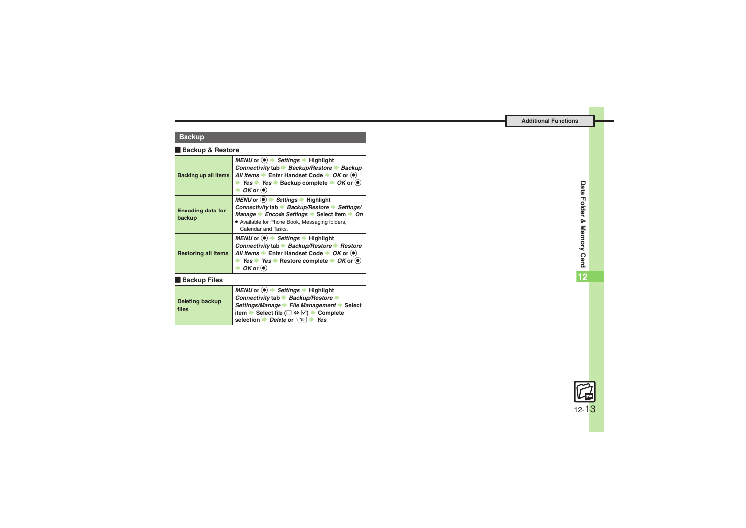# **Backup**

#### [ **Backup & Restore**

<span id="page-12-3"></span><span id="page-12-2"></span><span id="page-12-1"></span><span id="page-12-0"></span>

| <b>Backing up all items</b>        | MENU or $\left( \bullet \right)$ $\Rightarrow$ Settings $\Rightarrow$ Highlight<br>Connectivity tab Backup/Restore Backup<br>All Items $\blacktriangleright$ Enter Handset Code $\blacktriangleright$ OK or $\blacklozenge$<br><b>★ Yes ★ Yes ★ Backup complete ★ OK or (●)</b><br>$\rightarrow$ OK or $\left(\bullet\right)$                  |  |
|------------------------------------|------------------------------------------------------------------------------------------------------------------------------------------------------------------------------------------------------------------------------------------------------------------------------------------------------------------------------------------------|--|
| <b>Encoding data for</b><br>backup | $MENU$ or $\left( \bullet \right)$ $\Rightarrow$ Settings $\Rightarrow$ Highlight<br>Connectivity tab $\rightarrow$ Backup/Restore $\rightarrow$ Settings/<br>Manage $\blacktriangleright$ Encode Settings $\blacktriangleright$ Select item $\blacktriangleright$ On<br>. Available for Phone Book, Messaging folders,<br>Calendar and Tasks. |  |
| <b>Restoring all items</b>         | $MEMU$ or $\circledast$ $\rightarrow$ <i>Settings</i> $\rightarrow$ Highlight<br>Connectivity tab → Backup/Restore → Restore<br>All Items $\blacktriangleright$ Enter Handset Code $\blacktriangleright$ OK or $\blacklozenge$<br>Yes Yes Restore complete $\rightarrow$ OK or $\odot$<br>$OK$ or $\odot$                                      |  |
| <b>Backup Files</b>                |                                                                                                                                                                                                                                                                                                                                                |  |
| Deleting backup<br>files           | MENU or $\textcircled{\textcircled{\textcirc}}$ $\blacktriangleright$ Settings $\blacktriangleright$ Highlight<br>Connectivity tab Backup/Restore<br>Settings/Manage > File Management > Select<br>item → Select file ( $\Box \Leftrightarrow \Box$ ) → Complete<br>selection $\rightarrow$ Delete or $\sqrt{Y}$ $\rightarrow$ Yes             |  |

**Data Folder & Memory Card**

**12**